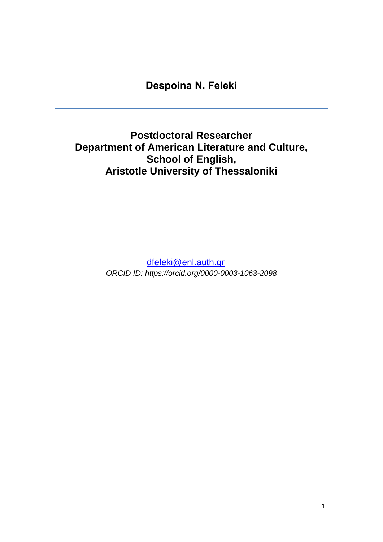# **Despoina Ν. Feleki**

**Postdoctoral Researcher Department of American Literature and Culture, School of English, Aristotle University of Thessaloniki**

> [dfeleki@enl.auth.gr](mailto:dfeleki@enl.auth.gr) *ORCID ID: https://orcid.org/0000-0003-1063-2098*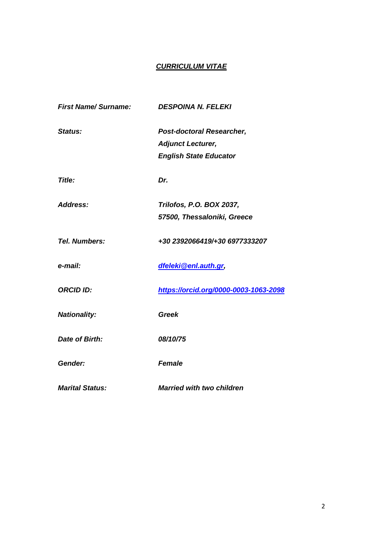### *CURRICULUM VITAE*

| <b>First Name/Surname:</b> | <b>DESPOINA N. FELEKI</b>             |
|----------------------------|---------------------------------------|
| Status:                    | <b>Post-doctoral Researcher,</b>      |
|                            | <b>Adjunct Lecturer,</b>              |
|                            | <b>English State Educator</b>         |
| Title:                     | Dr.                                   |
| Address:                   | Trilofos, P.O. BOX 2037,              |
|                            | 57500, Thessaloniki, Greece           |
| <b>Tel. Numbers:</b>       | +30 2392066419/+30 6977333207         |
| e-mail:                    | dfeleki@enl.auth.gr,                  |
| <b>ORCID ID:</b>           | https://orcid.org/0000-0003-1063-2098 |
| <b>Nationality:</b>        | <b>Greek</b>                          |
| <b>Date of Birth:</b>      | 08/10/75                              |
| Gender:                    | <b>Female</b>                         |
| <b>Marital Status:</b>     | <b>Married with two children</b>      |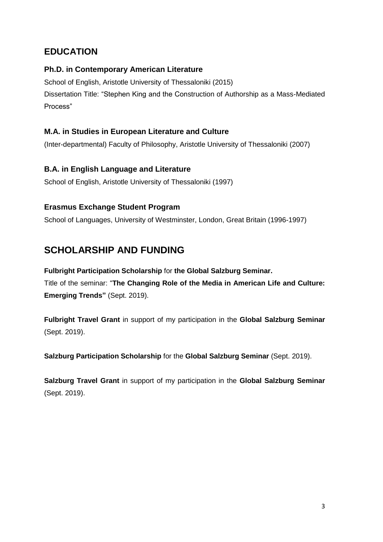## **EDUCATION**

### **Ph.D. in Contemporary American Literature**

School of English, Aristotle University of Thessaloniki (2015) Dissertation Title: "Stephen King and the Construction of Authorship as a Mass-Mediated Process"

### **M.A. in Studies in European Literature and Culture**

(Inter-departmental) Faculty of Philosophy, Aristotle University of Thessaloniki (2007)

### **B.A. in English Language and Literature**

School of English, Aristotle University of Thessaloniki (1997)

### **Erasmus Exchange Student Program**

School of Languages, University of Westminster, London, Great Britain (1996-1997)

## **SCHOLARSHIP AND FUNDING**

**Fulbright Participation Scholarship** for **the Global Salzburg Seminar.** Title of the seminar: "**The Changing Role of the Media in American Life and Culture: Emerging Trends"** (Sept. 2019).

**Fulbright Travel Grant** in support of my participation in the **Global Salzburg Seminar** (Sept. 2019).

**Salzburg Participation Scholarship** for the **Global Salzburg Seminar** (Sept. 2019).

**Salzburg Travel Grant** in support of my participation in the **Global Salzburg Seminar** (Sept. 2019).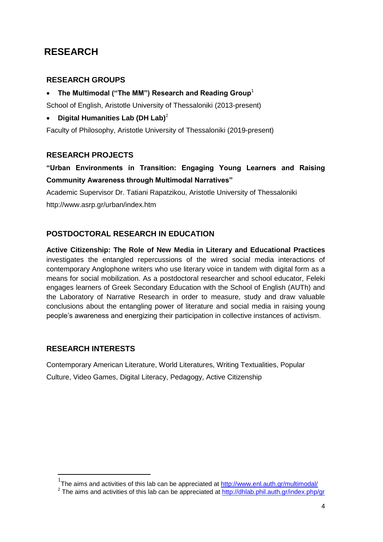# **RESEARCH**

### **RESEARCH GROUPS**

**The Multimodal ("The MM") Research and Reading Group**<sup>1</sup>

School of English, Aristotle University of Thessaloniki (2013-present)

**Digital Humanities Lab (DH Lab)**<sup>2</sup>

Faculty of Philosophy, Aristotle University of Thessaloniki (2019-present)

### **RESEARCH PROJECTS**

### **"Urban Environments in Transition: Engaging Young Learners and Raising Community Awareness through Multimodal Narratives"**

Academic Supervisor Dr. Tatiani Rapatzikou, Aristotle University of Thessaloniki http://www.asrp.gr/urban/index.htm

### **POSTDOCTORAL RESEARCH IN EDUCATION**

**Active Citizenship: The Role of New Media in Literary and Educational Practices**  investigates the entangled repercussions of the wired social media interactions of contemporary Anglophone writers who use literary voice in tandem with digital form as a means for social mobilization. As a postdoctoral researcher and school educator, Feleki engages learners of Greek Secondary Education with the School of English (AUTh) and the Laboratory of Narrative Research in order to measure, study and draw valuable conclusions about the entangling power of literature and social media in raising young people's awareness and energizing their participation in collective instances of activism.

### **RESEARCH INTERESTS**

**.** 

Contemporary American Literature, World Literatures, Writing Textualities, Popular Culture, Video Games, Digital Literacy, Pedagogy, Active Citizenship

<sup>&</sup>lt;sup>1</sup>The aims and activities of this lab can be appreciated at<http://www.enl.auth.gr/multimodal/>

<sup>&</sup>lt;sup>2</sup> The aims and activities of this lab can be appreciated at<http://dhlab.phil.auth.gr/index.php/gr>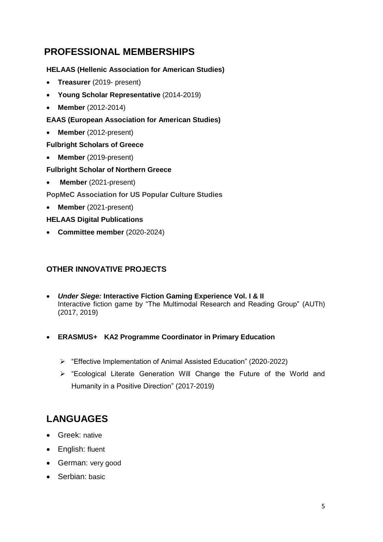# **PROFESSIONAL MEMBERSHIPS**

### **HELAAS (Hellenic Association for American Studies)**

- **Treasurer** (2019- present)
- **Young Scholar Representative** (2014-2019)
- **Member** (2012-2014)
- **EAAS (European Association for American Studies)**
- **Member** (2012-present)

### **Fulbright Scholars of Greece**

**Member** (2019-present)

### **Fulbright Scholar of Northern Greece**

**Member** (2021-present)

**PopMeC Association for US Popular Culture Studies**

**Member** (2021-present)

### **HELAAS Digital Publications**

**Committee member** (2020-2024)

### **OTHER INNOVATIVE PROJECTS**

- *Under Siege:* **Interactive Fiction Gaming Experience Vol. I & II** Interactive fiction game by "The Multimodal Research and Reading Group" (AUTh) (2017, 2019)
- **ERASMUS+ KA2 Programme Coordinator in Primary Education**
	- "Effective Implementation of Animal Assisted Education" (2020-2022)
	- "Ecological Literate Generation Will Change the Future of the World and Humanity in a Positive Direction" (2017-2019)

# **LANGUAGES**

- Greek: native
- English: fluent
- German: very good
- Serbian: basic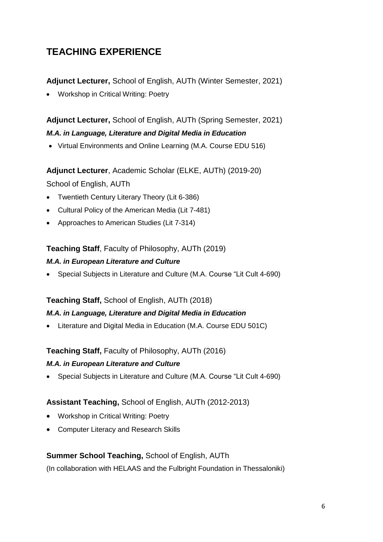# **TEACHING EXPERIENCE**

**Adjunct Lecturer,** School of English, AUTh (Winter Semester, 2021)

Workshop in Critical Writing: Poetry

**Adjunct Lecturer,** School of English, AUTh (Spring Semester, 2021) *M.A. in Language, Literature and Digital Media in Education*

• Virtual Environments and Online Learning (M.A. Course EDU 516)

**Adjunct Lecturer**, Academic Scholar (ELKE, AUTh) (2019-20)

School of English, AUTh

- Twentieth Century Literary Theory (Lit 6-386)
- Cultural Policy of the American Media (Lit 7-481)
- Approaches to American Studies (Lit 7-314)

### **Teaching Staff**, Faculty of Philosophy, AUTh (2019)

### *M.A. in European Literature and Culture*

Special Subjects in Literature and Culture (M.A. Course "Lit Cult 4-690)

### **Teaching Staff,** School of English, AUTh (2018)

### *M.A. in Language, Literature and Digital Media in Education*

Literature and Digital Media in Education (M.A. Course EDU 501C)

### **Teaching Staff,** Faculty of Philosophy, AUTh (2016)

### *M.A. in European Literature and Culture*

Special Subjects in Literature and Culture (M.A. Course "Lit Cult 4-690)

### **Assistant Teaching,** School of English, AUTh (2012-2013)

- Workshop in Critical Writing: Poetry
- Computer Literacy and Research Skills

### **Summer School Teaching,** School of English, AUTh

(In collaboration with HELAAS and the Fulbright Foundation in Thessaloniki)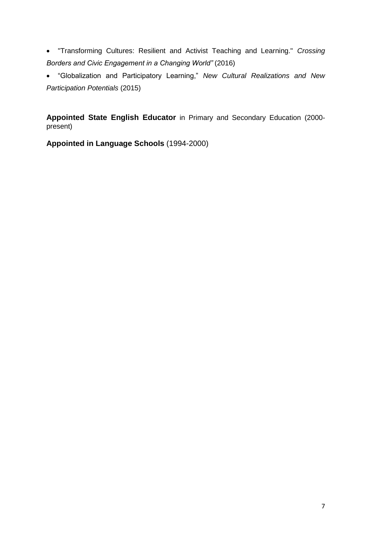"Transforming Cultures: Resilient and Activist Teaching and Learning." *Crossing Borders and Civic Engagement in a Changing World"* (2016)

 "Globalization and Participatory Learning," *New Cultural Realizations and New Participation Potentials* (2015)

**Appointed State English Educator** in Primary and Secondary Education (2000 present)

**Appointed in Language Schools** (1994-2000)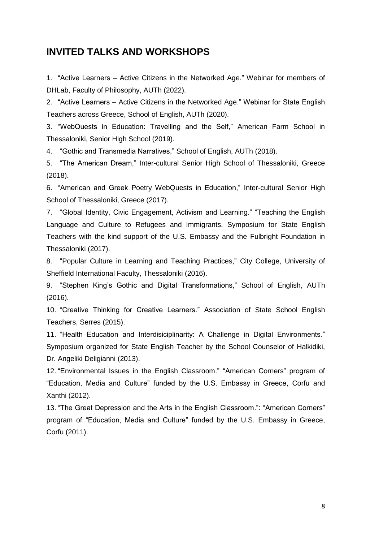### **INVITED TALKS AND WORKSHOPS**

1. "Active Learners – Active Citizens in the Networked Age." Webinar for members of DHLab, Faculty of Philosophy, AUTh (2022).

2. "Active Learners – Active Citizens in the Networked Age." Webinar for State English Teachers across Greece, School of English, AUTh (2020).

3. "WebQuests in Education: Travelling and the Self," American Farm School in Thessaloniki, Senior High School (2019).

4. "Gothic and Transmedia Narratives," School of English, AUTh (2018).

5. "The American Dream," Inter-cultural Senior High School of Thessaloniki, Greece (2018).

6. "American and Greek Poetry WebQuests in Education," Inter-cultural Senior High School of Thessaloniki, Greece (2017).

7. "Global Identity, Civic Engagement, Activism and Learning." "Teaching the English Language and Culture to Refugees and Immigrants. Symposium for State English Teachers with the kind support of the U.S. Embassy and the Fulbright Foundation in Thessaloniki (2017).

8. "Popular Culture in Learning and Teaching Practices," City College, University of Sheffield International Faculty, Thessaloniki (2016).

9. "Stephen King's Gothic and Digital Transformations," School of English, AUTh (2016).

10. "Creative Thinking for Creative Learners." Association of State School English Teachers, Serres (2015).

11. "Health Education and Interdisiciplinarity: A Challenge in Digital Environments." Symposium organized for State English Teacher by the School Counselor of Halkidiki, Dr. Angeliki Deligianni (2013).

12. "Environmental Issues in the English Classroom." "American Corners" program of "Education, Media and Culture" funded by the U.S. Embassy in Greece, Corfu and Xanthi (2012).

13. "The Great Depression and the Arts in the English Classroom.": "American Corners" program of "Education, Media and Culture" funded by the U.S. Embassy in Greece, Corfu (2011).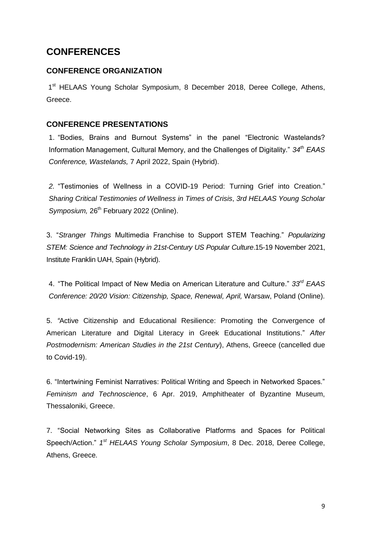## **CONFERENCES**

### **CONFERENCE ORGANIZATION**

1<sup>st</sup> HELAAS Young Scholar Symposium, 8 December 2018, Deree College, Athens, Greece.

### **CONFERENCE PRESENTATIONS**

1. "Bodies, Brains and Burnout Systems" in the panel "Electronic Wastelands? Information Management, Cultural Memory, and the Challenges of Digitality." *34th ΕΑΑS Conference, Wastelands,* 7 April 2022, Spain (Hybrid).

*2.* "Testimonies of Wellness in a COVID-19 Period: Turning Grief into Creation." *Sharing Critical Testimonies of Wellness in Times of Crisis*, *3rd HELAAS Young Scholar*  Symposium, 26<sup>th</sup> February 2022 (Online).

3. "*Stranger Things* Multimedia Franchise to Support STEM Teaching." *Popularizing STEM: Science and Technology in 21st-Century US Popular Culture*.15-19 November 2021, Institute Franklin UAH, Spain (Hybrid).

4. "The Political Impact of New Media on American Literature and Culture." *33rd EAAS Conference: 20/20 Vision: Citizenship, Space, Renewal, April,* Warsaw, Poland (Online).

5. *"*Active Citizenship and Educational Resilience: Promoting the Convergence of American Literature and Digital Literacy in Greek Educational Institutions." *[After](http://helaas.enl.auth.gr/after-postmodernism-american-studies-in-the-21st-century/)  [Postmodernism: American Studies in the 21st Century](http://helaas.enl.auth.gr/after-postmodernism-american-studies-in-the-21st-century/)*), Athens, Greece (cancelled due to Covid-19).

6. "Intertwining Feminist Narratives: Political Writing and Speech in Networked Spaces." *Feminism and Technoscience*, 6 Apr. 2019, Amphitheater of Byzantine Museum, Thessaloniki, Greece.

7. "Social Networking Sites as Collaborative Platforms and Spaces for Political Speech/Action." *1 st HELAAS Young Scholar Symposium*, 8 Dec. 2018, Deree College, Athens, Greece.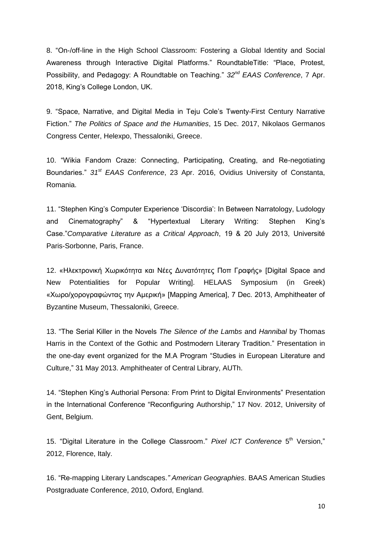8. "On-/off-line in the High School Classroom: Fostering a Global Identity and Social Awareness through Interactive Digital Platforms." RoundtableTitle: "Place, Protest, Possibility, and Pedagogy: A Roundtable on Teaching." *32nd EAAS Conference*, 7 Apr. 2018, King's College London, UK.

9. "Space, Narrative, and Digital Media in Teju Cole's Twenty-First Century Narrative Fiction." *The Politics of Space and the Humanities*, 15 Dec. 2017, Nikolaos Germanos Congress Center, Helexpo, Thessaloniki, Greece.

10. "Wikia Fandom Craze: Connecting, Participating, Creating, and Re-negotiating Boundaries." *31st EAAS Conference*, 23 Apr. 2016, Ovidius University of Constanta, Romania.

11. "Stephen King's Computer Experience 'Discordia': In Between Narratology, Ludology and Cinematography" & "Hypertextual Literary Writing: Stephen King's Case."*Comparative Literature as a Critical Approach*, 19 & 20 July 2013, Université Paris-Sorbonne, Paris, France.

12. «Ηλεκτρονική Χωρικότητα και Νέες Δυνατότητες Ποπ Γραφής» [Digital Space and New Potentialities for Popular Writing]. HELAAS Symposium (in Greek) «Χωρο/χορογραφώντας την Αμερική» [Mapping America], 7 Dec. 2013, Amphitheater of Byzantine Museum, Thessaloniki, Greece.

13. "The Serial Killer in the Novels *The Silence of the Lambs* and *Hannibal* by Thomas Harris in the Context of the Gothic and Postmodern Literary Tradition." Presentation in the one-day event organized for the M.A Program "Studies in European Literature and Culture," 31 May 2013. Amphitheater of Central Library, AUTh.

14. "Stephen King's Authorial Persona: From Print to Digital Environments" Presentation in the International Conference "Reconfiguring Authorship," 17 Nov. 2012, University of Gent, Belgium.

15. "Digital Literature in the College Classroom." Pixel ICT Conference 5<sup>th</sup> Version," 2012, Florence, Italy.

16. "Re-mapping Literary Landscapes.*" American Geographies*. BAAS American Studies Postgraduate Conference, 2010, Oxford, England.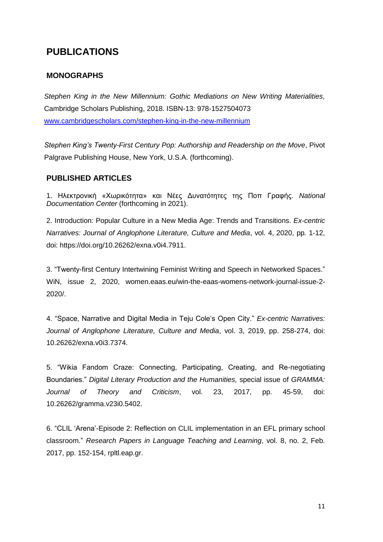## **PUBLICATIONS**

### **MONOGRAPHS**

*Stephen King in the New Millennium: Gothic Mediations on New Writing Materialities,*  Cambridge Scholars Publishing, 2018. ISBN-13: 978-1527504073 [www.cambridgescholars.com/stephen-king-in-the-new-millennium](http://www.cambridgescholars.com/stephen-king-in-the-new-millennium) 

*Stephen King's Twenty-First Century Pop: Authorship and Readership on the Move*, Pivot Palgrave Publishing House, New York, U.S.A. (forthcoming).

### **PUBLISHED ARTICLES**

1. Ηλεκτρονική «Χωρικότητα» και Νέες Δυνατότητες της Ποπ Γραφής. *National Documentation Center* (forthcoming in 2021).

2. Introduction: Popular Culture in a New Media Age: Trends and Transitions. *Ex-centric Narratives: Journal of Anglophone Literature, Culture and Media*, vol. 4, 2020, pp*.* 1-12, doi: https://doi.org/10.26262/exna.v0i4.7911.

3. "Twenty-first Century Intertwining Feminist Writing and Speech in Networked Spaces." WiN, issue 2, 2020, women.eaas.eu/win-the-eaas-womens-network-journal-issue-2- 2020/.

4. "Space, Narrative and Digital Media in Teju Cole's Open City." *Ex-centric Narratives: Journal of Anglophone Literature, Culture and Media*, vol. 3, 2019, pp. 258-274, doi: 10.26262/exna.v0i3.7374.

5. "Wikia Fandom Craze: Connecting, Participating, Creating, and Re-negotiating Boundaries." *Digital Literary Production and the Humanities,* special issue of *GRAMMA: Journal of Theory and Criticism*, vol. 23, 2017, pp. 45-59, doi: 10.26262/gramma.v23i0.5402.

6. "CLIL 'Arena'-Episode 2: Reflection on CLIL implementation in an EFL primary school classroom." *Research Papers in Language Teaching and Learning*, vol. 8, no. 2, Feb. 2017, pp. 152-154, rpltl.eap.gr.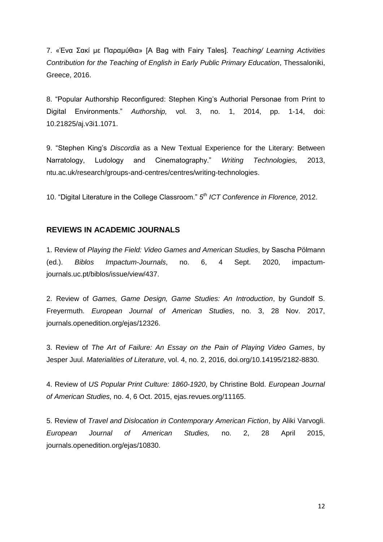7. «Ένα Σακί με Παραμύθια» [A Bag with Fairy Tales]. *Teaching/ Learning Activities Contribution for the Teaching of English in Early Public Primary Education*, Thessaloniki, Greece, 2016.

8. "Popular Authorship Reconfigured: Stephen King's Authorial Personae from Print to Digital Environments." *Authorship,* vol. 3, no. 1, 2014, pp. 1-14, doi: 10.21825/aj.v3i1.1071.

9. "Stephen King's *Discordia* as a New Textual Experience for the Literary: Between Narratology, Ludology and Cinematography." *Writing Technologies,* 2013, ntu.ac.uk/research/groups-and-centres/centres/writing-technologies.

10. "Digital Literature in the College Classroom." *5 th ICT Conference in Florence,* 2012.

#### **REVIEWS IN ACADEMIC JOURNALS**

1. Review of *Playing the Field: Video Games and American Studies*, by Sascha Pölmann (ed.). *Biblos Impactum-Journals*, no. 6, 4 Sept. 2020, impactumjournals.uc.pt/biblos/issue/view/437.

2. Review of *Games, Game Design, Game Studies: An Introduction*, by Gundolf S. Freyermuth. *European Journal of American Studies*, no. 3, 28 Nov. 2017, journals.openedition.org/ejas/12326.

3. Review of *The Art of Failure: An Essay on the Pain of Playing Video Games*, by Jesper Juul. *Materialities of Literature*, vol. 4, no. 2, 2016, doi.org/10.14195/2182-8830.

4. Review of *US Popular Print Culture: 1860-1920*, by Christine Bold. *European Journal of American Studies,* no. 4, 6 Oct. 2015, ejas.revues.org/11165.

5. Review of *Travel and Dislocation in Contemporary American Fiction*, by Aliki Varvogli. *European Journal of American Studies,* no. 2, 28 April 2015, journals.openedition.org/ejas/10830.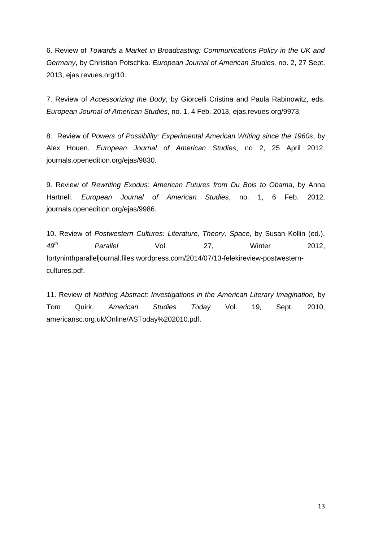6. Review of *Towards a Market in Broadcasting: Communications Policy in the UK and Germany*, by Christian Potschka. *European Journal of American Studies,* no. 2, 27 Sept. 2013[,](http://ejas.revues.org/10126) ejas.revues.org/10.

7. Review of *Accessorizing the Body*, by Giorcelli Cristina and Paula Rabinowitz, eds. *European Journal of American Studies*, no. 1, 4 Feb. 2013, ejas.revues.org/9973.

8. Review of *Powers of Possibility: Experimental American Writing since the 1960s*, by Alex Houen. *European Journal of American Studies*, no 2, 25 April 2012, journals.openedition.org/ejas/9830.

9. Review of *Rewriting Exodus: American Futures from Du Bois to Obama*, by Anna Hartnell. *European Journal of American Studies*, no. 1, 6 Feb. 2012, journals.openedition.org/ejas/9986.

10. Review of *Postwestern Cultures: Literature, Theory, Space*, by Susan Kollin (ed.). *49th Parallel* Vol. 27, Winter 2012, fortyninthparalleljournal.files.wordpress.com/2014/07/13-felekireview-postwesterncultures.pdf.

11. Review of *Nothing Abstract: Investigations in the American Literary Imagination,* by Tom Quirk. *American Studies Today* Vol. 19*,* Sept. 2010, americansc.org.uk/Online/ASToday%202010.pdf.